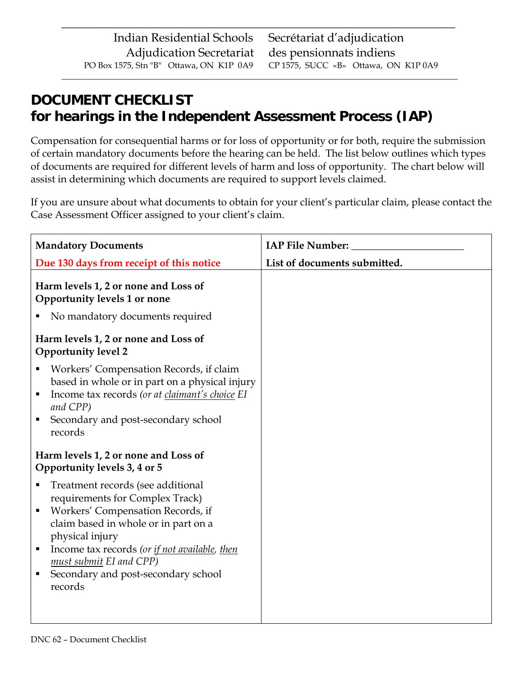# **DOCUMENT CHECKLIST for hearings in the Independent Assessment Process (IAP)**

Compensation for consequential harms or for loss of opportunity or for both, require the submission of certain mandatory documents before the hearing can be held. The list below outlines which types of documents are required for different levels of harm and loss of opportunity. The chart below will assist in determining which documents are required to support levels claimed.

 $\overline{\phantom{a}}$  ,  $\overline{\phantom{a}}$  ,  $\overline{\phantom{a}}$  ,  $\overline{\phantom{a}}$  ,  $\overline{\phantom{a}}$  ,  $\overline{\phantom{a}}$  ,  $\overline{\phantom{a}}$  ,  $\overline{\phantom{a}}$  ,  $\overline{\phantom{a}}$  ,  $\overline{\phantom{a}}$  ,  $\overline{\phantom{a}}$  ,  $\overline{\phantom{a}}$  ,  $\overline{\phantom{a}}$  ,  $\overline{\phantom{a}}$  ,  $\overline{\phantom{a}}$  ,  $\overline{\phantom{a}}$ 

 $\overline{\phantom{a}}$  ,  $\overline{\phantom{a}}$  ,  $\overline{\phantom{a}}$  ,  $\overline{\phantom{a}}$  ,  $\overline{\phantom{a}}$  ,  $\overline{\phantom{a}}$  ,  $\overline{\phantom{a}}$  ,  $\overline{\phantom{a}}$  ,  $\overline{\phantom{a}}$  ,  $\overline{\phantom{a}}$  ,  $\overline{\phantom{a}}$  ,  $\overline{\phantom{a}}$  ,  $\overline{\phantom{a}}$  ,  $\overline{\phantom{a}}$  ,  $\overline{\phantom{a}}$  ,  $\overline{\phantom{a}}$ 

If you are unsure about what documents to obtain for your client's particular claim, please contact the Case Assessment Officer assigned to your client's claim.

| <b>Mandatory Documents</b>                                                                                                                                                                                                                                                                                             |                              |
|------------------------------------------------------------------------------------------------------------------------------------------------------------------------------------------------------------------------------------------------------------------------------------------------------------------------|------------------------------|
| Due 130 days from receipt of this notice                                                                                                                                                                                                                                                                               | List of documents submitted. |
| Harm levels 1, 2 or none and Loss of<br>Opportunity levels 1 or none                                                                                                                                                                                                                                                   |                              |
| No mandatory documents required                                                                                                                                                                                                                                                                                        |                              |
| Harm levels 1, 2 or none and Loss of<br><b>Opportunity level 2</b>                                                                                                                                                                                                                                                     |                              |
| Workers' Compensation Records, if claim<br>based in whole or in part on a physical injury<br>Income tax records (or at claimant's choice EI<br>п<br>and CPP)<br>Secondary and post-secondary school<br>٠<br>records                                                                                                    |                              |
| Harm levels 1, 2 or none and Loss of<br>Opportunity levels 3, 4 or 5                                                                                                                                                                                                                                                   |                              |
| Treatment records (see additional<br>п<br>requirements for Complex Track)<br>Workers' Compensation Records, if<br>п<br>claim based in whole or in part on a<br>physical injury<br>Income tax records (or if not available, then<br>п<br>must submit EI and CPP)<br>Secondary and post-secondary school<br>п<br>records |                              |
|                                                                                                                                                                                                                                                                                                                        |                              |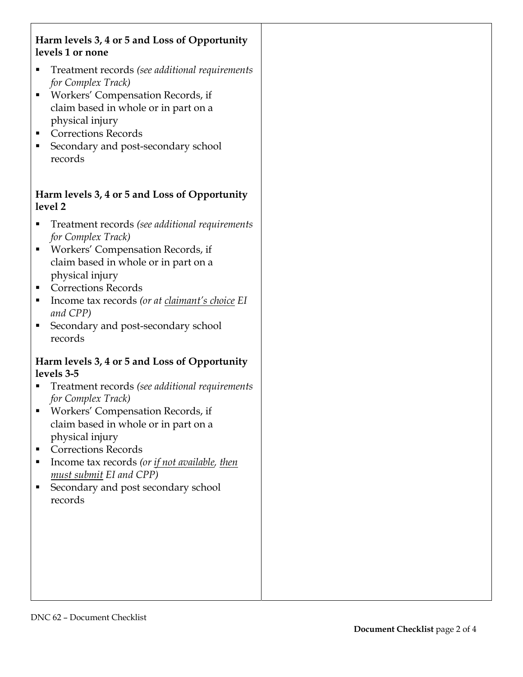## **Harm levels 3, 4 or 5 and Loss of Opportunity levels 1 or none**

- Treatment records *(see additional requirements for Complex Track)*
- Workers' Compensation Records, if claim based in whole or in part on a physical injury
- **Corrections Records**
- Secondary and post-secondary school records

## **Harm levels 3, 4 or 5 and Loss of Opportunity level 2**

- Treatment records *(see additional requirements for Complex Track)*
- Workers' Compensation Records, if claim based in whole or in part on a physical injury
- Corrections Records
- Income tax records *(or at claimant's choice EI and CPP)*
- Secondary and post-secondary school records

#### **Harm levels 3, 4 or 5 and Loss of Opportunity levels 3-5**

- Treatment records *(see additional requirements for Complex Track)*
- Workers' Compensation Records, if claim based in whole or in part on a physical injury
- Corrections Records
- Income tax records (or if not available, then *must submit EI and CPP)*
- Secondary and post secondary school records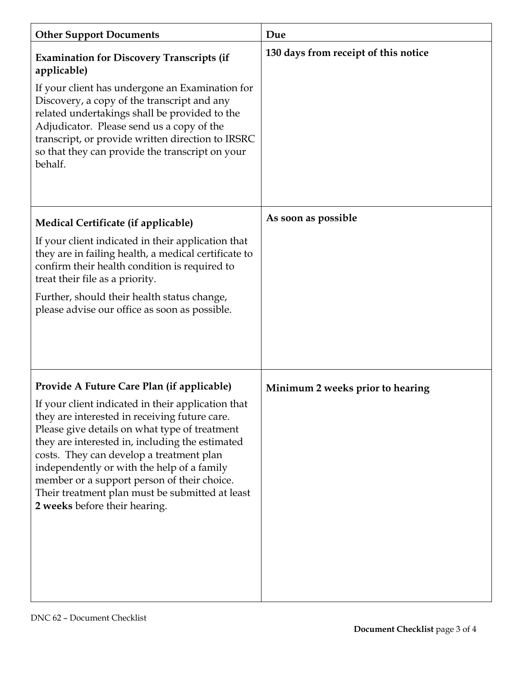| <b>Other Support Documents</b>                                                                                                                                                                                                                                                                                                                                                                                                                                                     | Due                                  |
|------------------------------------------------------------------------------------------------------------------------------------------------------------------------------------------------------------------------------------------------------------------------------------------------------------------------------------------------------------------------------------------------------------------------------------------------------------------------------------|--------------------------------------|
| <b>Examination for Discovery Transcripts (if</b><br>applicable)<br>If your client has undergone an Examination for<br>Discovery, a copy of the transcript and any<br>related undertakings shall be provided to the<br>Adjudicator. Please send us a copy of the<br>transcript, or provide written direction to IRSRC<br>so that they can provide the transcript on your<br>behalf.                                                                                                 | 130 days from receipt of this notice |
| Medical Certificate (if applicable)                                                                                                                                                                                                                                                                                                                                                                                                                                                | As soon as possible                  |
| If your client indicated in their application that<br>they are in failing health, a medical certificate to<br>confirm their health condition is required to<br>treat their file as a priority.<br>Further, should their health status change,<br>please advise our office as soon as possible.                                                                                                                                                                                     |                                      |
| Provide A Future Care Plan (if applicable)<br>If your client indicated in their application that<br>they are interested in receiving future care.<br>Please give details on what type of treatment<br>they are interested in, including the estimated<br>costs. They can develop a treatment plan<br>independently or with the help of a family<br>member or a support person of their choice.<br>Their treatment plan must be submitted at least<br>2 weeks before their hearing. | Minimum 2 weeks prior to hearing     |